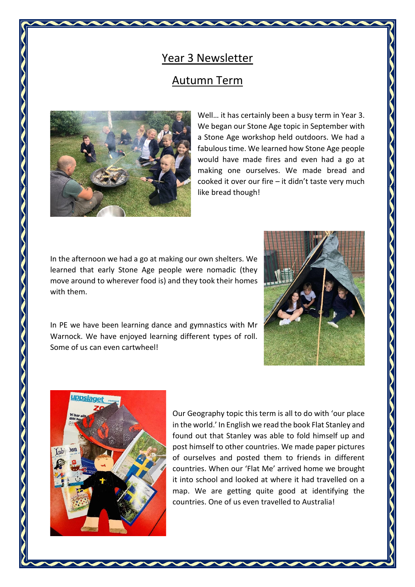## Year 3 Newsletter

## Autumn Term



Well… it has certainly been a busy term in Year 3. We began our Stone Age topic in September with a Stone Age workshop held outdoors. We had a fabulous time. We learned how Stone Age people would have made fires and even had a go at making one ourselves. We made bread and cooked it over our fire – it didn't taste very much like bread though!

In the afternoon we had a go at making our own shelters. We learned that early Stone Age people were nomadic (they move around to wherever food is) and they took their homes with them.



In PE we have been learning dance and gymnastics with Mr Warnock. We have enjoyed learning different types of roll. Some of us can even cartwheel!



Our Geography topic this term is all to do with 'our place in the world.' In English we read the book Flat Stanley and found out that Stanley was able to fold himself up and post himself to other countries. We made paper pictures of ourselves and posted them to friends in different countries. When our 'Flat Me' arrived home we brought it into school and looked at where it had travelled on a map. We are getting quite good at identifying the countries. One of us even travelled to Australia!